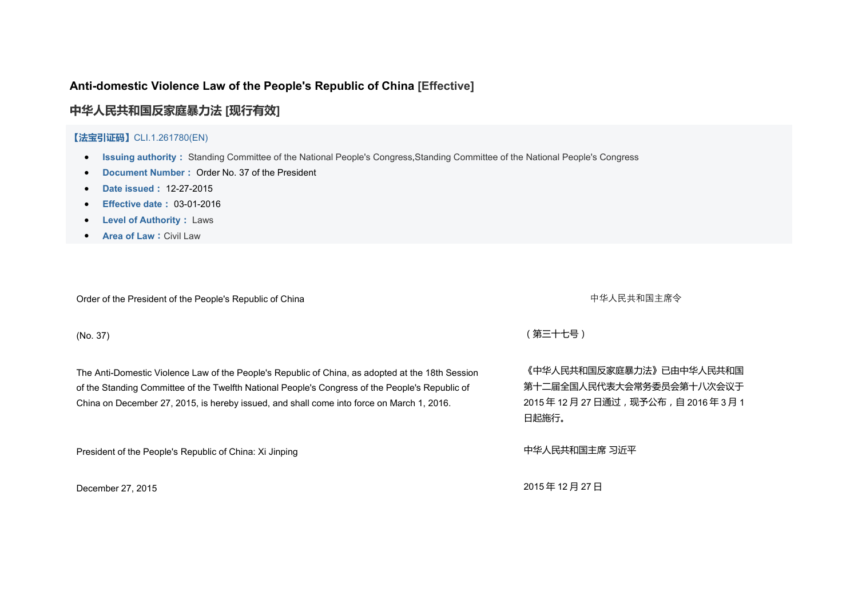# **Anti-domestic Violence Law of the People's Republic of China [\[Effective\]](http://en.pkulaw.cn/Search/SearchLaw.aspx?Effective=01)**

**[中华人民共和国反家庭暴力法](http://www.pkulaw.cn/fulltext_form.aspx?Db=chl&Gid=261780) [[现行有效](http://en.pkulaw.cn/Search/SearchLaw.aspx?Effective=01)]**

## **【法宝引证码】**CLI.1.261780(EN)

- **Issuing authority:** Standing [Committee](http://en.pkulaw.cn/Search/SearchLaw.aspx?department=2) of the National People's Congress,Standing [Committee](http://en.pkulaw.cn/Search/SearchLaw.aspx?department=201) of the National People's Congress
- **Document Number:** Order No. 37 of the President
- **Date issued:** 12-27-2015
- **Effective date:** 03-01-2016
- **Level of Authority:** [Laws](http://en.pkulaw.cn/Search/SearchLaw.aspx?xiaoli=XA0101)
- **Area of Law:**[CivilLaw](http://en.pkulaw.cn/Search/SearchLaw.aspx?subject=01604)

Order of the President of the People's Republic of China **the China endiate of the President** of the People's Republic of China

The Anti-Domestic Violence Law of the People's Republic of China, as adopted at the 18th Session 《中华人民共和国反家庭暴力法》已由中华人民共和国 of the Standing Committee of the Twelfth National People's Congress of the People's Republic of The Anti-Domestic Violence Law of the People's Republic of China, as adopted at the 18th Session 《中华人民共和国反家庭暴力法》已由中华人民共和国<br>of the Standing Committee of the Twelfth National People's Congress of the People's Republic of

President of the People's Republic of China: Xi Jinping extending the extendio of the People's Republic of China: Xi Jinping

(No. 37) (第三十七号)

第十二届全国人民代表大会常务委员会第十八次会议于 2015 年 12 月 27 日通过,现予公布,自 2016 年 3 月 1 日起施行。

December 27, 2015 2015 2015年 12月 27日 2015年 12月 27日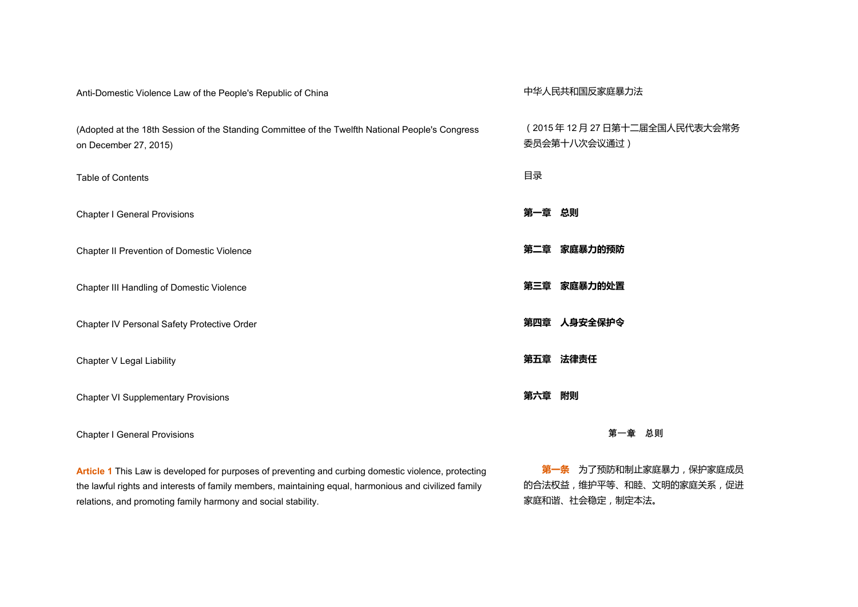| Anti-Domestic Violence Law of the People's Republic of China                                                              | 中华人民共和国反家庭暴力法                              |
|---------------------------------------------------------------------------------------------------------------------------|--------------------------------------------|
| (Adopted at the 18th Session of the Standing Committee of the Twelfth National People's Congress<br>on December 27, 2015) | (2015年12月27日第十二届全国人民代表大会常务<br>委员会第十八次会议通过) |
| Table of Contents                                                                                                         | 目录                                         |
| <b>Chapter I General Provisions</b>                                                                                       | 第一章<br>总则                                  |
| Chapter II Prevention of Domestic Violence                                                                                | 家庭暴力的预防<br>第二章                             |
| Chapter III Handling of Domestic Violence                                                                                 | 第三章 家庭暴力的处置                                |
| Chapter IV Personal Safety Protective Order                                                                               | 第四章 人身安全保护令                                |
| Chapter V Legal Liability                                                                                                 | 第五章 法律责任                                   |
| <b>Chapter VI Supplementary Provisions</b>                                                                                | 第六章<br>附则                                  |
| <b>Chapter I General Provisions</b>                                                                                       | 总则<br>第一章                                  |
| Article 1 This Law is developed for purposes of preventing and curbing domestic violence, protecting                      | 第一条 为了预防和制止家庭暴力, 保护家庭成员                    |

the lawful rights and interests of family members, maintaining equal, harmonious and civilized family **Article 1** This Law is developed for purposes of preventing and curbing domestic violence, protecting **第一条** 为了预防和制止家庭暴力,保护家庭成员<br>the lawful rights and interests of family members, maintaining equal, harmonious and civ

的合法权益,维护平等、和睦、文明的家庭关系,促进 家庭和谐、社会稳定,制定本法。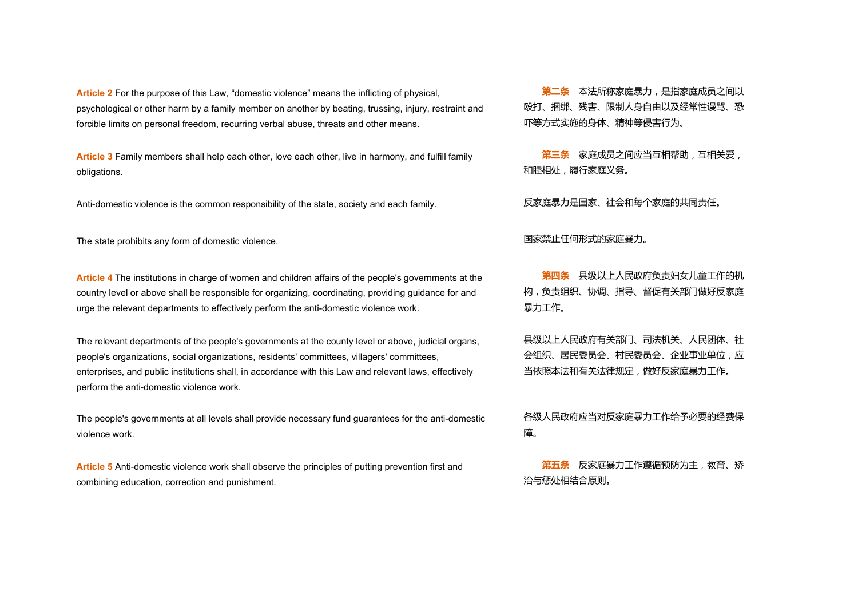**Article <sup>2</sup>** For the purpose of this Law,"domestic violence" means the inflicting of physical,psychological or other harm by <sup>a</sup> family member on another by beating, trussing, injury, restraint and forcible limits on personal freedom, recurring verbal abuse, threats and other means.

**Article 3** Family members shall help each other,love each other, live in harmony, and fulfill family obligations. **第三条** 家庭成员之间应当互相帮助,互相关爱,

Anti-domestic violence is the common responsibility of the state, society and each family. 反家庭暴力是国家、社会和每个家庭的共同责任。

The state prohibits any form of domestic violence. <br>
The state prohibits any form of domestic violence.

**Article 4** The institutions in charge of women and children affairs of the people's governments at the **第四条** 县级以上人民政府负责妇女儿童工作的机<br>country level or above shall be responsible for organizing, coordinating, providing gu country level or above shall be responsible for organizing, coordinating, providing guidance for and

The relevant departments of the people's governments at the county level or above, judicial organs, 县级以上人民政府有关部门、司法机关、人民团体、社 people's organizations, social organizations, residents' committees, villagers' committees, enterprises, and public institutions shall, in accordance with this Law and relevant laws, effectively The relevant departments of the people's governments at the county level or above, judicial organs, 县级以上人民政府有关部门、司法机关、人民团体、社<br>people's organizations, social organizations, residents' committees, villagers' committees,

The people's governments at all levels shall provide necessary fund guarantees for the anti-domestic 各级人民政府应当对反家庭暴力工作给予必要的经费保<br>violence work.

**Article 5** Anti-domestic violence work shall observe the principles of putting prevention first and **第五条** 反家庭暴力工作遵循预防为主,教育、矫<br>combining education, correction and punishment.

殴打、捆绑、残害、限制人身自由以及经常性谩骂、恐 吓等方式实施的身体、精神等侵害行为。

和睦相处,履行家庭义务。

构,负责组织、协调、指导、督促有关部门做好反家庭 暴力工作。

会组织、居民委员会、村民委员会、企业事业单位,应 当依照本法和有关法律规定,做好反家庭暴力工作。

にはんしょう はんしょう はんしょう はんしょう はんしょう はんしょう はんしょう はんしょう

治与惩处相结合原则。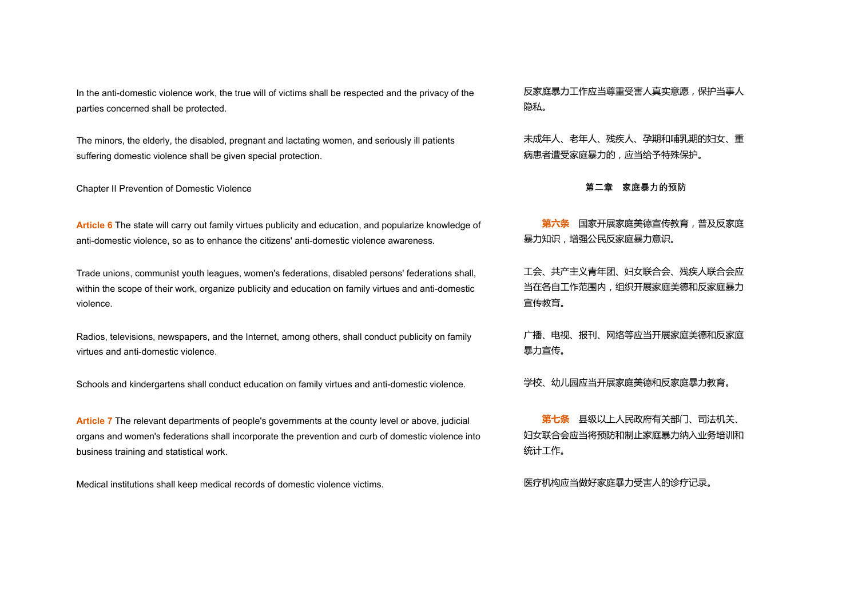In the anti-domestic violence work, the true will of victims shall be respected and the privacy of the 反家庭暴力工作应当尊重受害人真实意愿,保护当事人<br>parties concerned shall be protected.

The minors, the elderly, the disabled, pregnant and lactating women, and seriously ill patients 未成年人、老年人、残疾人、孕期和哺乳期的妇女、重<br>suffering domestic violence shall be given special protection.

Chapter II Prevention of Domestic Violence **第二章 家庭暴力的预防**

**Article 6** The state will carry out family virtues publicity and education, and popularize knowledge of <mark>第六条</mark> 国家开展家庭美德宣传教育,普及反家庭<br>anti-domestic violence, so as to enhance the citizens' anti-domestic violence awarene

Trade unions, communist youth leagues, women's federations, disabled persons' federations shall, <br> within the scope of their work, organize publicity and education on family virtues and anti-domestic Trade unions, communist youth leagues, women's federations, disabled persons' federations shall, 工会、共产主义青年团、妇女联合会、残疾人联合会应<br>within the scope of their work, organize publicity and education on family virtues and anti-do

Radios, televisions, newspapers, and the Internet, among others, shall conduct publicity on family 广播、电视、报刊、网络等应当开展家庭美德和反家庭<br>virtues and anti-domestic violence.

Schools and kindergartens shall conduct education on family virtues and anti-domestic violence.学校、幼儿园应当开展家庭美德和反家庭暴力教育。

**Article 7** The relevant departments of people's governments at the county level or above, judicial business training and statistical work. **第七条** 县级以上人民政府有关部门、司法机关、 organs and women's federations shall incorporate the prevention and curb ofdomestic violence into

Medical institutions shall keep medical records of domestic violence victims. We recorded and many many results and the medical records of domestic violence victims.

隐私。

病患者遭受家庭暴力的,应当给予特殊保护。

暴力知识,增强公民反家庭暴力意识。

当在各自工作范围内,组织开展家庭美德和反家庭暴力 宣传教育。

暴力宣传。

妇女联合会应当将预防和制止家庭暴力纳入业务培训和 统计工作。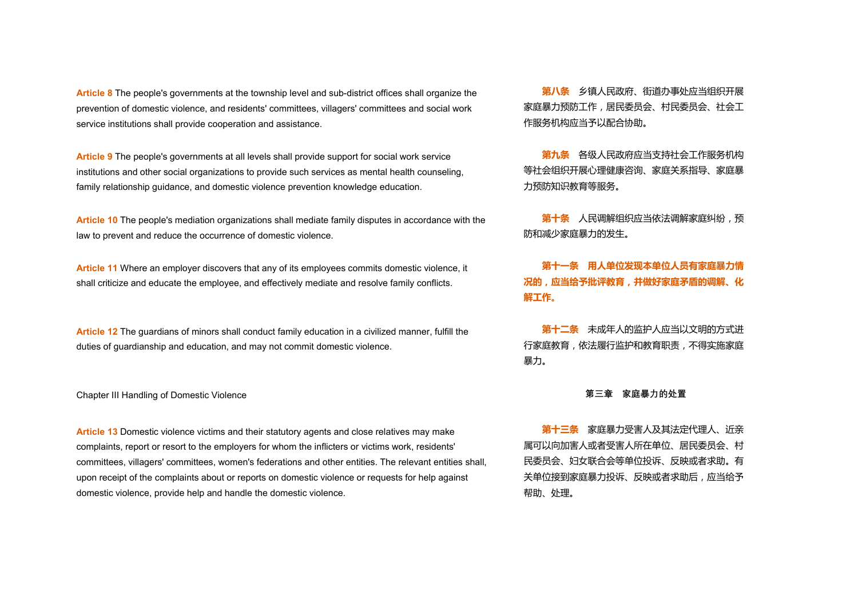**Article 8** The people's governments at the township level and sub-district offices shall organize the prevention of domestic violence, and residents' committees, villagers' committees and social work 豕廷暴刀 **Article 8** The people's governments at the township level and sub-district offices shall organize the <mark>第八条</mark> 乡镇人民政府、街道办事处应当组织开展<br>prevention of domestic violence, and residents' committees, villagers' committees and

**Article 9** The people's governments at all levels shall provide support for social work service family relationship guidance, and domestic violence prevention knowledge education. **第九条** 各级人民政府应当支持社会工作服务机构 institutions and other social organizations to provide such services as mental health counseling,

**Article 10** The people's mediation organizations shall mediate family disputes in accordance with the **第十条** 人民调解组织应当依法调解家庭纠纷,预<br>law to prevent and reduce the occurrence of domestic violence.

Article 11 Where an employer discovers that any of its employees commits domestic violence, it 第十一条 用人单位发现本单位人员有家庭暴力情<br>shall criticize and educate the employee, and effectively mediate and resolve family conflicts.

**Article 12** The guardians of minors shall conduct family education in a civilized manner, fulfill the 未成年人的监护人应当以文明的方式进<br>duties of guardianship and education, and may not commit domestic violence.

Chapter IIIHandling of Domestic Violence **第三章 家庭暴力的处置**

Article 13 Domestic violence victims and their statutory agents and close relatives may make **secupe and the secupe secupe the secupe of the secupe of the secupe A**<br>
of the statutors and their statutory agents and close r complaints, report or resort to the employers for whom the inflicters or victims work, residents' committees, villagers' committees, women's federations and other entities. The relevant entities shall, upon receipt of the complaints about or reports on domestic violence or requests for help against **Article 13** Domestic violence victims and their statutory agents and close relatives may make<br>complaints, report or resort to the employers for whom the inflicters or victims work, residents' 属可以向加害人或者受害人所在单位、居民委员会

家庭暴力预防工作,居民委员会、村民委员会、社会工 作服务机构应当予以配合协助。

等社会组织开展心理健康咨询、家庭关系指导、家庭暴 力预防知识教育等服务。

防和减少家庭暴力的发生。

**况的,应当给予批评教育,并做好家庭矛盾的调解、化 解工作。**

行家庭教育,依法履行监护和教育职责,不得实施家庭 暴力。

属可以向加害人或者受害人所在单位、居民委员会、村 民委员会、妇女联合会等单位投诉、反映或者求助。有 关单位接到家庭暴力投诉、反映或者求助后,应当给予 帮助、处理。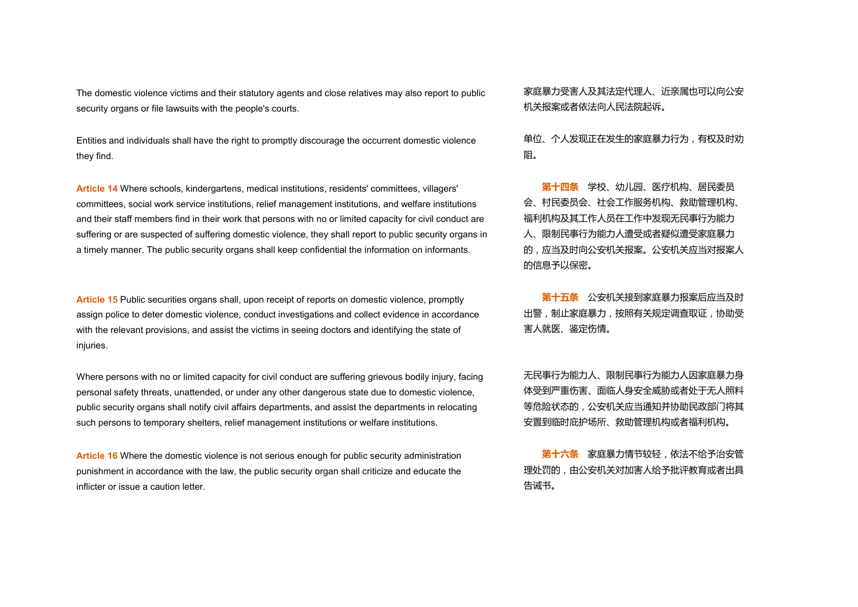The domestic violence victims and their statutory agents and close relatives may also report to public 家庭暴力受害人及其法定代理人、近亲属也可以向公安<br>security organs or file lawsuits with the people's courts.

Entities and individuals shall have the right to promptly discourage the occurrent domestic violence 单位、个人发现正在发生的家庭暴力行为,有权及时劝<br>they find.

**Article 14** Where schools, kindergartens, medical institutions, residents' committees, villagers' committees, social work service institutions, relief management institutions, and welfare institutions and their staff members find in their work that persons with no or limited capacity for civil conduct are suffering or are suspected of suffering domestic violence, they shall report to public security organs in <sup>a</sup> timely manner. The public security organs shall keep confidential the information on informants. **第十四条** 学校、幼儿园、医疗机构、居民委员

**Article 15** Public securities organs shall, upon receipt of reports on domestic violence, promptly  **第十五条** 公安机关接到家庭暴力报案后应当及时 assign police to deter domestic violence, conduct investigations and collect evidence in accordance with the relevant provisions, and assist the victims in seeing doctors and identifying the state of injuries. **第十五条** 公安机关接到家庭暴力报案后应当及时

Where persons with no or limited capacity for civil conduct are suffering grievous bodily injury, facing personal safety threats, unattended, or under any other dangerous state due to domestic violence,<br>public security organs shall notify civil affairs departments, and assist the departments in relocating Where persons with no or limited capacity for civil conduct are suffering grievous bodily injury, facing 无民事行为能力人、限制民事行为能力人因家庭暴力身<br>personal safety threats, unattended, or under any other dangerous state due to domestic

**Article 16** Where the domestic violence is not serious enough for public security administration inflicter or issue <sup>a</sup> caution letter. **第十六条** 家庭暴力情节较轻,依法不给予治安管 punishment in accordance with the law, the public security organ shall criticize and educate the

机关报案或者依法向人民法院起诉。

阻。

会、村民委员会、社会工作服务机构、救助管理机构、 福利机构及其工作人员在工作中发现无民事行为能力 人、限制民事行为能力人遭受或者疑似遭受家庭暴力 的,应当及时向公安机关报案。公安机关应当对报案人 的信息予以保密。

出警,制止家庭暴力,按照有关规定调查取证,协助受 害人就医、鉴定伤情。

体受到严重伤害、面临人身安全威胁或者处于无人照料 等危险状态的,公安机关应当通知并协助民政部门将其 安置到临时庇护场所、救助管理机构或者福利机构。

理处罚的,由公安机关对加害人给予批评教育或者出具 告诫书。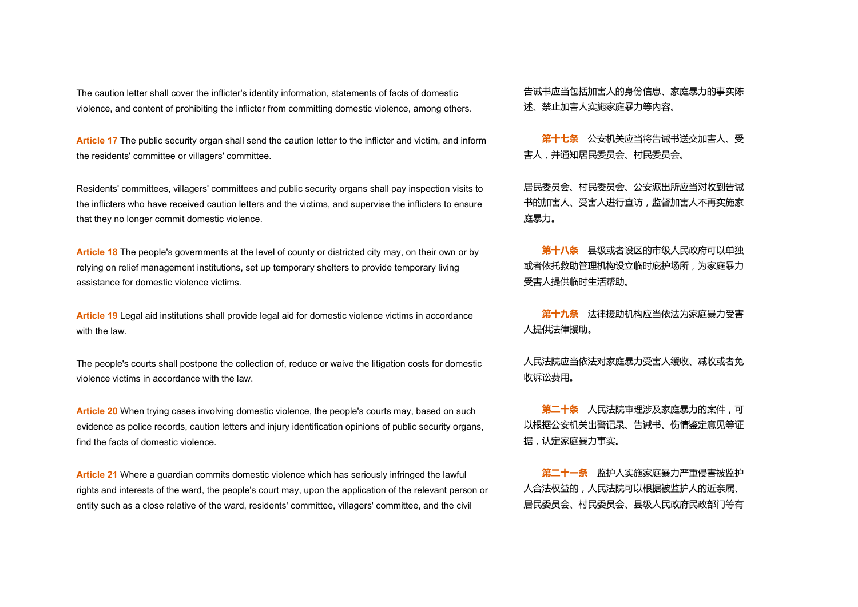The caution letter shall cover the inflicter's identity information, statements of facts of domestic 告诫书应当包括加害人的身份信息、家庭暴力的事实陈 violence, and content of prohibiting the inflicter from committing domestic violence, among others.

**Article 17** The public security organ shall send the caution letter to the inflicter and victim, and inform **第十七条** 公安机关应当将告诫书送交加害人、受<br>the residents' committee or villagers' committee.

Residents' committees, villagers' committees and public security organs shall pay inspection visits to 居民委员会、村民委员会、公安派出所应当对收到告诫<br>the inflicters who have received caution letters and the victims, and supervise the infli the inflicters who have received caution letters and the victims, and supervise the inflicters to ensure

**Article 18** The people's governments at the level of county or districted city may, on their own or by relying on relief management institutions, set up temporary shelters to provide temporary living **Article 18** The people's governments at the level of county or districted city may, on their own or by <mark>第十八条</mark> 县级或者设区的市级人民政府可以单独<br>relying on relief management institutions, set up temporary shelters to provide tempor

**Article 19** Legal aid institutions shall provide legal aid for domestic violence victims in accordance <mark>第十九条</mark> 法律援助机构应当依法为家庭暴力受害<br>with the law.

The people's courts shall postpone the collection of, reduce or waive the litigation costs for domestic 人民法院应当依法对家庭暴力受害人缓收、减收或者免<br>violence victims in accordance with the law.

**Article 20** When trying cases involving domestic violence, the people's courts may, based on such evidence as police records, caution letters and injury identification opinions of public security organs, 以和 find the facts of domestic violence.**第二十条** 人民法院审理涉及家庭暴力的案件,可

**Article 21** Where a guardian commits domestic violence which has seriously infringed the lawful rights and interests of the ward, the people's court may, upon the application of the relevant person or entity such as a close relative of the ward, residents' committee, villagers' committee, and the civil

述、禁止加害人实施家庭暴力等内容。

害人,并通知居民委员会、村民委员会。

书的加害人、受害人进行查访,监督加害人不再实施家 庭暴力。

或者依托救助管理机构设立临时庇护场所,为家庭暴力 受害人提供临时生活帮助。

人提供法律援助。

收诉讼费用。

以根据公安机关出警记录、告诫书、伤情鉴定意见等证 据,认定家庭暴力事实。

**第二十一条** 监护人实施家庭暴力严重侵害被监护 人合法权益的,人民法院可以根据被监护人的近亲属、 居民委员会、村民委员会、县级人民政府民政部门等有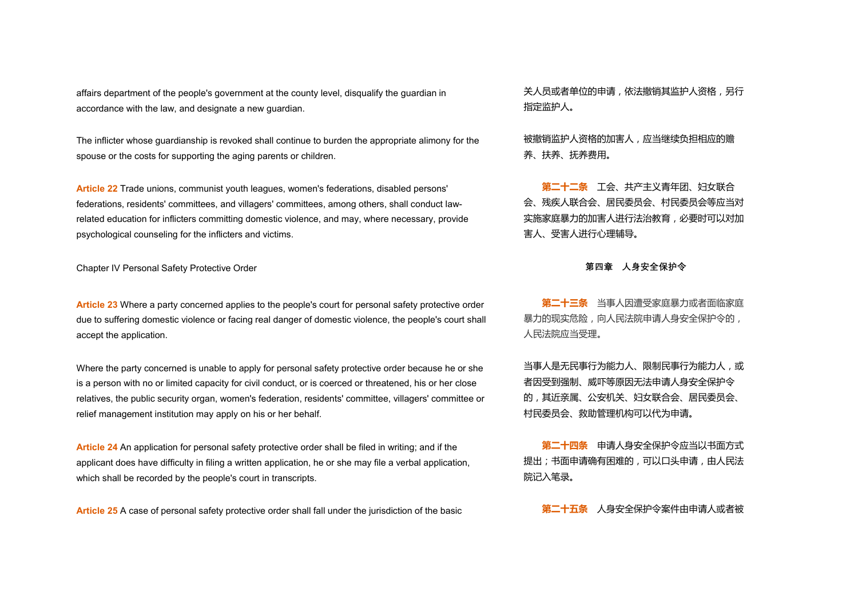affairs department of the people's government at the county level, disqualify the guardian in 关人员或者单位的申请,依法撤销其监护人资格,另行<br>accordance with the law, and designate a new guardian.

The inflicter whose guardianship is revoked shall continue to burden the appropriate alimony for the 被撤销监护人资格的加害人,应当继续负担相应的赡<br>spouse or the costs for supporting the aging parents or children.

**Article 22** Trade unions, communist youth leagues, women's federations, disabled persons' federations, residents' committees, and villagers' committees, among others, shall conduct lawrelated education for inflicters committing domestic violence, and may, where necessary, provide psychological counseling for the inflicters and victims. **第二十二条** 工会、共产主义青年团、妇女联合

Chapter IV Personal Safety Protective Order **第四章 人身安全保护令**

**Article 23** Where a party concerned applies to the people's court for personal safety protective order due to suffering domestic violence or facing real danger of domestic violence, the people's court shall  $\qquad \qquad ^{3}$ **Article 23** Where a party concerned applies to the people's court for personal safety protective order **第二十三条** 当事人因遭受家庭暴力或者面临家庭<br>due to suffering domestic violence or facing real danger of domestic violence, the peop

Where the party concerned is unable to apply for personal safety protective order because he or she <br> is a person with no or limited capacity for civil conduct, or is coerced or threatened, his or her close relatives, the public security organ, women's federation, residents' committee, villagers' committee or Where the party concerned is unable to apply for personal safety protective order because he or she 当事人是无民事行为能力人、限制民事行为能力人,或<br>is a person with no or limited capacity for civil conduct, or is coerced or threatened, his

**Article 24** An application for personal safety protective order shall be filed in writing; and if the **Warrelly Started Started Started A** 中请人身安全保护令应当以书面方式 applicant does have difficulty in filing a written application, he or she may file a verbal application, **Article 24** An application for personal safety protective order shall be filed in writing; and if the <mark>第二十四条</mark> 申请人身安全保护令应当以书面方式<br>applicant does have difficulty in filing a written application, he or she may file a

**Article 25** A case of personal safety protective order shall fall under the jurisdiction of the basic **第二十五条** 人身安全保护令案件由申请人或者被

指定监护人。

养、扶养、抚养费用。

会、残疾人联合会、居民委员会、村民委员会等应当对 实施家庭暴力的加害人进行法治教育,必要时可以对加 害人、受害人进行心理辅导。

暴力的现实危险,向人民法院申请人身安全保护令的, 人民法院应当受理。

者因受到强制、威吓等原因无法申请人身安全保护令 的,其近亲属、公安机关、妇女联合会、居民委员会、 村民委员会、救助管理机构可以代为申请。

提出;书面申请确有困难的,可以口头申请,由人民法 院记入笔录。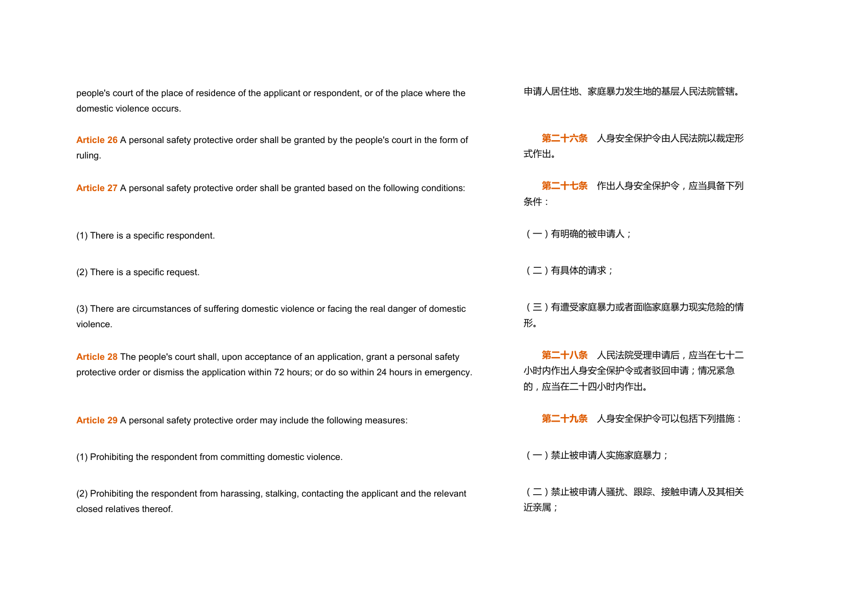people's court of the place of residence of the applicant or respondent, or of the place where the 申请人居住地、家庭暴力发生地的基层人民法院管辖。<br>domestic violence occurs.

**Article 26** A personal safety protective order shall be granted by the people's court in the form of ruling. **第二十六条** 人身安全保护令由人民法院以裁定形

**Article 27** A personal safety protective order shall be granted based on the following conditions: **第二十七条** 作出人身安全保护令,应当具备下列

(1) There is a specific respondent.  $(+)$  There is a specific respondent.

(2) There is a specific request.  $(2)$  There is a specific request.

(3) There are circumstances of suffering domestic violence or facing the real danger of domestic (三)有遭受家庭暴力或者面临家庭暴力现实危险的情<br>violence.

**Article 28** The people's court shall, upon acceptance of an application,grant a personal safety protective order or dismiss the application within <sup>72</sup> hours; ordo so within <sup>24</sup> hours in emergency. **第二十八条** 人民法院受理申请后,应当在七十二

**Article 29** A personal safety protective order may include the following measures: **第二十九条** 人身安全保护令可以包括下列措施:

(1) Prohibiting the respondent from committing domestic violence. (1) example of the state of the respondent from committing domestic violence.

(2) Prohibiting the respondent from harassing, stalking, contacting the applicant and the relevant (二)禁止被申请人骚扰、跟踪、接触申请人及其相关<br>closed relatives thereof.

式作出。

条件:

形。

小时内作出人身安全保护令或者驳回申请;情况紧急 的,应当在二十四小时内作出。

近亲属;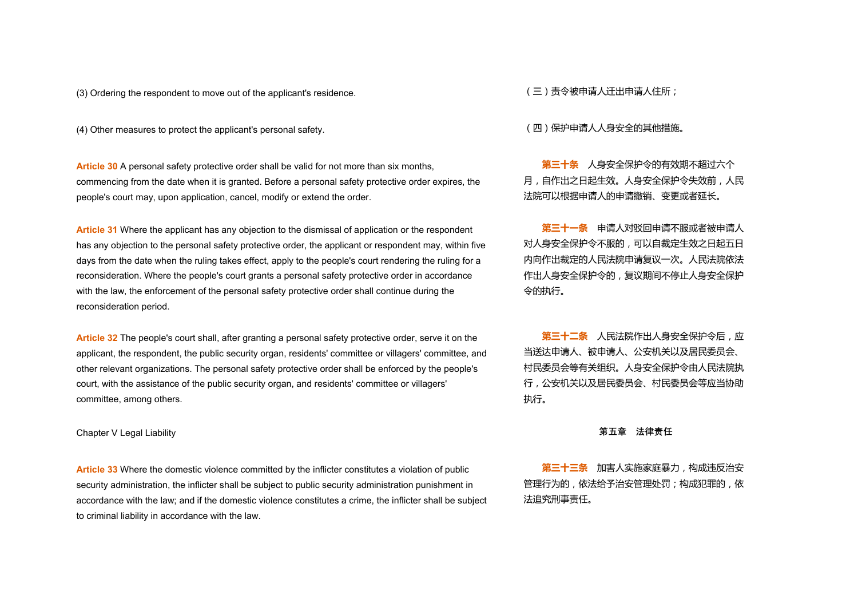(3) Ordering the respondent to move out of the applicant's residence. (三) 责令被申请人迁出申请人住所;

(4) Other measures to protect the applicant's personal safety. (四)保护申请人人身安全的其他措施。

**Article <sup>30</sup>** <sup>A</sup> personal safety protective order shall be valid for not more than six months,commencing from the date when it is granted. Before <sup>a</sup> personal safety protective order expires, the people's court may, upon application, cancel, modify or extend the order. **第三十条** 人身安全保护令的有效期不超过六个

**Article 31** Where the applicant has any objection to the dismissal of application or the respondent has any objection to the personal safety protective order, the applicant or respondent may, within five days from the date when the ruling takes effect, apply to the people's court rendering the ruling for a reconsideration. Where the people's court grants a personal safety protective order in accordance with the law, the enforcement of the personal safety protective order shall continue during the **Article 31** Where the applicant has any objection to the dismissal of application or the respondent<br>has any objection to the personal safety protective order, the applicant or respondent may, within five days from the da

Article 32 The people's court shall, after granting a personal safety protective order, serve it on the  **第三十二条** 人民法院作出人身<del>安</del>全保护令后,应 applicant, the respondent, the public security organ, residents' committee or villagers' committee, and other relevant organizations. The personal safety protective order shall be enforced by the people's court, with the assistance of the public security organ, and residents' committee or villagers' **Article 32** The people's court shall, after granting a personal safety protective order, serve it on the<br>applicant, the respondent, the public security organ, residents' committee or villagers' committee, and<br>other relev

Chapter V Legal Liability **第五章 法律责任**

**Article 33** Where the domestic violence committed by the inflicter constitutes a violation of public security administration, the inflicter shall be subject to public security administration punishment in accordance with the law; and if the domestic violence constitutes a crime, the inflicter shall be subject **Article 33** Where the domestic violence committed by the inflicter constitutes a violation of public sare of the subject of public security administration punishment in security administration, the inflicter shall be sub

月,自作出之日起生效。人身安全保护令失效前,人民 法院可以根据申请人的申请撤销、变更或者延长。

对人身安全保护令不服的,可以自裁定生效之日起五日 内向作出裁定的人民法院申请复议一次。人民法院依法 作出人身安全保护令的,复议期间不停止人身安全保护 令的执行。

当送达申请人、被申请人、公安机关以及居民委员会、 村民委员会等有关组织。人身安全保护令由人民法院执 行,公安机关以及居民委员会、村民委员会等应当协助 执行。

管理行为的,依法给予治安管理处罚;构成犯罪的,依 法追究刑事责任。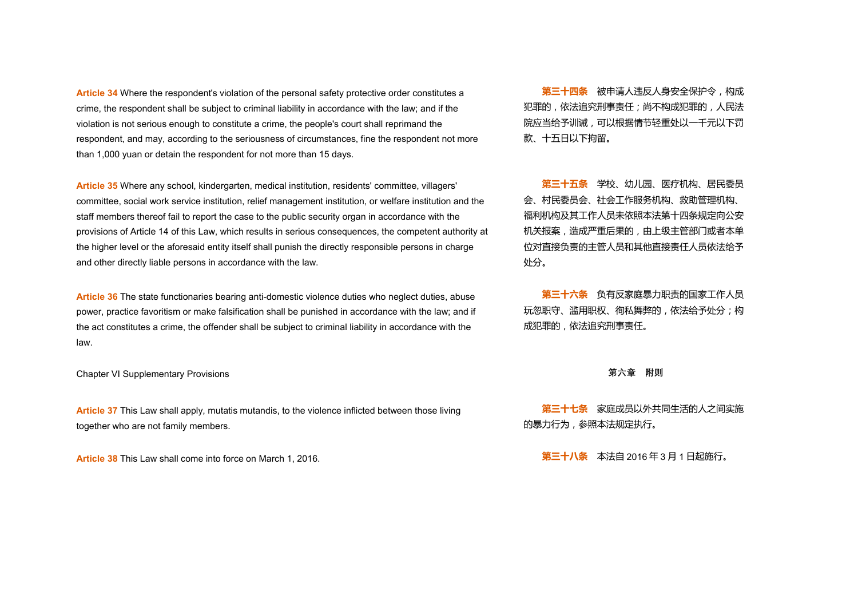**Article 34** Where the respondent's violation of the personal safety protective order constitutes a crime, the respondent shall be subject to criminal liability in accordance with the law; and if the violation is not serious enough to constitute a crime, the people's court shall reprimand the respondent, and may, according to the seriousness of circumstances, fine the respondent not more **Article 34** Where the respondent's violation of the personal safety protective order constitutes a<br>crime, the respondent shall be subject to criminal liability in accordance with the law; and if the 犯罪的,依法追究刑事责任;尚不

Article 35 Where any school, kindergarten, medical institution, residents' committee, villagers' committee, social work service institution, relief management institution, or welfare institution and the staff members thereof fail to report the case to the public security organ in accordance with the provisions of Article 14 of this Law, which results in serious consequences, the competent authority at the higher level or the aforesaid entity itself shall punish the directly responsible persons in charge **Article 35** Where any school, kindergarten, medical institution, residents' committee, villagers' whith committee, social work service institution, relief management institution, or welfare institution and the staff memb

**Article 36** The state functionaries bearing anti-domestic violence duties who neglect duties, abuse power, practice favoritism or make falsification shall be punished in accordance with the law; and if the act constitutes a crime, the offender shall be subject to criminal liability in accordance with the law. **第三十六条** 负有反家庭暴力职责的国家工作人员

Chapter VI Supplementary Provisions **第六章 附则**

**Article 37** This Law shall apply, mutatis mutandis, to the violence inflicted between those living **第三十七条** 家庭成员以外共同生活的人之间实施<br>together who are not family members.

犯罪的,依法追究刑事责任;尚不构成犯罪的,人民法 院应当给予训诫,可以根据情节轻重处以一千元以下罚 款、十五日以下拘留。

会、村民委员会、社会工作服务机构、救助管理机构、 福利机构及其工作人员未依照本法第十四条规定向公安 机关报案,造成严重后果的,由上级主管部门或者本单 位对直接负责的主管人员和其他直接责任人员依法给予 处分。

玩忽职守、滥用职权、徇私舞弊的,依法给予处分;构 成犯罪的,依法追究刑事责任。

的暴力行为,参照本法规定执行。

**Article 38** This Law shall come into force on March 1, 2016. **第三十八条** 本法自 2016 年 3月 1 日起施行。